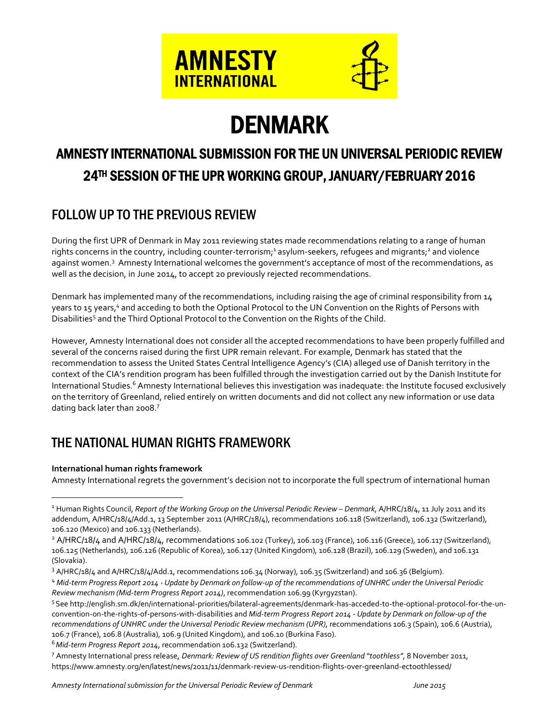

# DENMARK

# AMNESTY INTERNATIONAL SUBMISSION FOR THE UN UNIVERSAL PERIODIC REVIEW 24TH SESSION OF THE UPR WORKING GROUP, JANUARY/FEBRUARY 2016

# FOLLOW UP TO THE PREVIOUS REVIEW

During the first UPR of Denmark in May 2011 reviewing states made recommendations relating to a range of human rights concerns in the country, including counter-terrorism; <sup>1</sup> asylum-seekers, refugees and migrants; <sup>2</sup> and violence against women.<sup>3</sup> Amnesty International welcomes the government's acceptance of most of the recommendations, as well as the decision, in June 2014, to accept 20 previously rejected recommendations.

Denmark has implemented many of the recommendations, including raising the age of criminal responsibility from 14 years to 15 years, <sup>4</sup> and acceding to both the Optional Protocol to the UN Convention on the Rights of Persons with Disabilities<sup>5</sup> and the Third Optional Protocol to the Convention on the Rights of the Child.

However, Amnesty International does not consider all the accepted recommendations to have been properly fulfilled and several of the concerns raised during the first UPR remain relevant. For example, Denmark has stated that the recommendation to assess the United States Central Intelligence Agency's (CIA) alleged use of Danish territory in the context of the CIA's rendition program has been fulfilled through the investigation carried out by the Danish Institute for International Studies.<sup>6</sup> Amnesty International believes this investigation was inadequate: the Institute focused exclusively on the territory of Greenland, relied entirely on written documents and did not collect any new information or use data dating back later than 2008.<sup>7</sup>

# THE NATIONAL HUMAN RIGHTS FRAMEWORK

#### **International human rights framework**

 $\overline{a}$ 

Amnesty International regrets the government's decision not to incorporate the full spectrum of international human

<sup>6</sup>*Mid-term Progress Report 2014*, recommendation 106.132 (Switzerland).

<sup>7</sup> Amnesty International press release, *Denmark: Review of US rendition flights over Greenland "toothless"*, 8 November 2011, https://www.amnesty.org/en/latest/news/2011/11/denmark-review-us-rendition-flights-over-greenland-ectoothlessed/

*Amnesty Internationalsubmission for the Universal Periodic Review of Denmark June 2015*

<sup>1</sup> Human Rights Council, *Report of the Working Group on the Universal Periodic Review – Denmark*, A/HRC/18/4, 11 July 2011 and its addendum, A/HRC/18/4/Add.1, 13 September 2011 (A/HRC/18/4), recommendations 106.118 (Switzerland), 106.132 (Switzerland), 106.120 (Mexico) and 106.133 (Netherlands).

 $2$  A/HRC/18/4 and A/HRC/18/4, recommendations 106.102 (Turkey), 106.103 (France), 106.116 (Greece), 106.117 (Switzerland), 106.125 (Netherlands), 106.126 (Republic of Korea), 106.127 (United Kingdom), 106.128 (Brazil), 106.129 (Sweden), and 106.131 (Slovakia).

<sup>&</sup>lt;sup>3</sup> A/HRC/18/4 and A/HRC/18/4/Add.1, recommendations 106.34 (Norway), 106.35 (Switzerland) and 106.36 (Belgium).

<sup>4</sup> Mid-term Progress Report 2014 - Update by Denmark on follow-up of the recommendations of UNHRC under the Universal Periodic *Review mechanism (Mid-term Progress Report 2014)*, recommendation 106.99 (Kyrgyzstan).

<sup>5</sup>See http://english.sm.dk/en/international-priorities/bilateral-agreements/denmark-has-acceded-to-the-optional-protocol-for-the-unconvention-on-the-rights-of-persons-with-disabilities and *Mid-term Progress Report 2014 - Update by Denmark on follow-up of the recommendations of UNHRC under the Universal Periodic Review mechanism (UPR)*, recommendations 106.3 (Spain), 106.6 (Austria), 106.7 (France), 106.8 (Australia), 106.9 (United Kingdom), and 106.10 (Burkina Faso).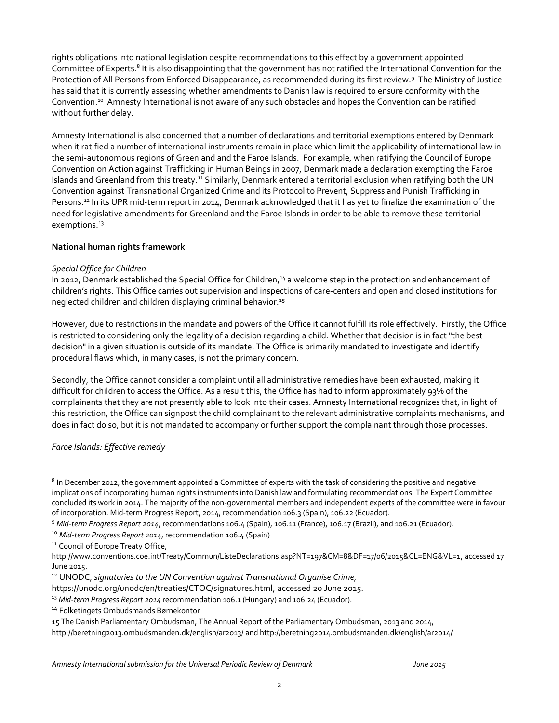rights obligations into national legislation despite recommendations to this effect by a government appointed Committee of Experts.<sup>8</sup> It is also disappointing that the government has not ratified the International Convention for the Protection of All Persons from Enforced Disappearance, as recommended during its first review.<sup>9</sup> The Ministry of Justice has said that it is currently assessing whether amendments to Danish law is required to ensure conformity with the Convention. <sup>10</sup> Amnesty International is not aware of any such obstacles and hopes the Convention can be ratified without further delay.

Amnesty International is also concerned that a number of declarations and territorial exemptions entered by Denmark when it ratified a number of international instruments remain in place which limit the applicability of international law in the semi-autonomous regions of Greenland and the Faroe Islands. For example, when ratifying the Council of Europe Convention on Action against Trafficking in Human Beings in 2007, Denmark made a declaration exempting the Faroe Islands and Greenland from this treaty.<sup>11</sup> Similarly, Denmark entered a territorial exclusion when ratifying both the UN Convention against Transnational Organized Crime and its Protocol to Prevent, Suppress and Punish Trafficking in Persons.<sup>12</sup> In its UPR mid-term report in 2014, Denmark acknowledged that it has yet to finalize the examination of the need for legislative amendments for Greenland and the Faroe Islands in order to be able to remove these territorial exemptions.<sup>13</sup>

#### **National human rights framework**

#### *Special Office for Children*

In 2012, Denmark established the Special Office for Children,<sup>14</sup> a welcome step in the protection and enhancement of children's rights. This Office carries out supervision and inspections of care-centers and open and closed institutions for neglected children and children displaying criminal behavior. **15**

However, due to restrictions in the mandate and powers of the Office it cannot fulfill its role effectively. Firstly, the Office is restricted to considering only the legality of a decision regarding a child. Whether that decision is in fact "the best decision" in a given situation is outside of its mandate. The Office is primarily mandated to investigate and identify procedural flaws which, in many cases, is not the primary concern.

Secondly, the Office cannot consider a complaint until all administrative remedies have been exhausted, making it difficult for children to access the Office. As a result this, the Office has had to inform approximately 93% of the complainants that they are not presently able to look into their cases. Amnesty International recognizes that, in light of this restriction, the Office can signpost the child complainant to the relevant administrative complaints mechanisms, and does in fact do so, but it is not mandated to accompany or further support the complainant through those processes.

#### *Faroe Islands: Effective remedy*

 $\overline{a}$ 

 $^8$  In December 2012, the government appointed a Committee of experts with the task of considering the positive and negative implications of incorporating human rights instruments into Danish law and formulating recommendations. The Expert Committee concluded its work in 2014. The majority of the non-governmental members and independent experts of the committee were in favour of incorporation. Mid-term Progress Report, 2014, recommendation 106.3 (Spain), 106.22 (Ecuador).

<sup>9</sup> *Mid-term Progress Report 2014*, recommendations 106.4 (Spain), 106.11 (France), 106.17 (Brazil), and 106.21 (Ecuador).

<sup>10</sup> *Mid-term Progress Report 2014*, recommendation 106.4 (Spain)

<sup>&</sup>lt;sup>11</sup> Council of Europe Treaty Office,

http://www.conventions.coe.int/Treaty/Commun/ListeDeclarations.asp?NT=197&CM=8&DF=17/06/2015&CL=ENG&VL=1, accessed 17 June 2015.

<sup>12</sup> UNODC, *signatories to the UN Convention against Transnational Organise Crime,*

[https://unodc.org/unodc/en/treaties/CTOC/signatures.html,](https://unodc.org/unodc/en/treaties/CTOC/signatures.html) accessed 20 June 2015.

<sup>13</sup> *Mid-term Progress Report 2014* recommendation 106.1 (Hungary) and 106.24 (Ecuador).

<sup>14</sup> Folketingets Ombudsmands Børnekontor

<sup>15</sup> The Danish Parliamentary Ombudsman, The Annual Report of the Parliamentary Ombudsman, 2013 and 2014,

http://beretning2013.ombudsmanden.dk/english/ar2013/ and http://beretning2014.ombudsmanden.dk/english/ar2014/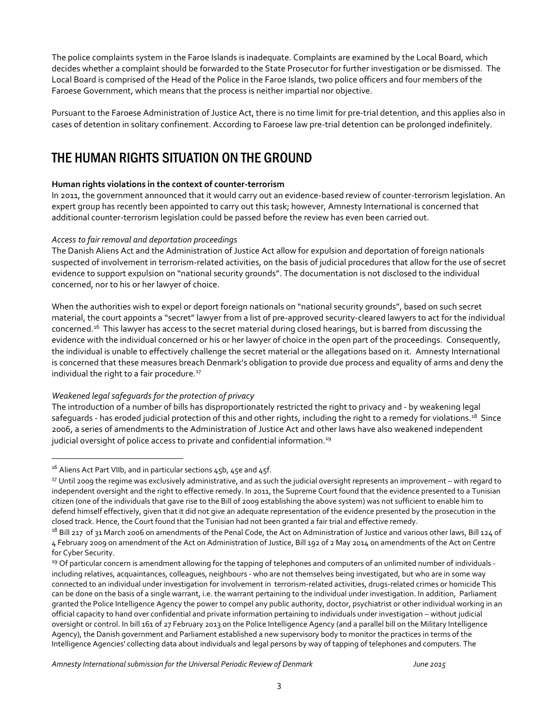The police complaints system in the Faroe Islands is inadequate. Complaints are examined by the Local Board, which decides whether a complaint should be forwarded to the State Prosecutor for further investigation or be dismissed. The Local Board is comprised of the Head of the Police in the Faroe Islands, two police officers and four members of the Faroese Government, which means that the process is neither impartial nor objective.

Pursuant to the Faroese Administration of Justice Act, there is no time limit for pre-trial detention, and this applies also in cases of detention in solitary confinement. According to Faroese law pre-trial detention can be prolonged indefinitely.

# THE HUMAN RIGHTS SITUATION ON THE GROUND

#### **Human rights violations in the context of counter-terrorism**

In 2011, the government announced that it would carry out an evidence-based review of counter-terrorism legislation. An expert group has recently been appointed to carry out this task; however, Amnesty International is concerned that additional counter-terrorism legislation could be passed before the review has even been carried out.

#### *Access to fair removal and deportation proceedings*

The Danish Aliens Act and the Administration of Justice Act allow for expulsion and deportation of foreign nationals suspected of involvement in terrorism-related activities, on the basis of judicial procedures that allow for the use of secret evidence to support expulsion on "national security grounds". The documentation is not disclosed to the individual concerned, nor to his or her lawyer of choice.

When the authorities wish to expel or deport foreign nationals on "national security grounds", based on such secret material, the court appoints a "secret" lawyer from a list of pre-approved security-cleared lawyers to act for the individual concerned.<sup>16</sup> This lawyer has access to the secret material during closed hearings, but is barred from discussing the evidence with the individual concerned or his or her lawyer of choice in the open part of the proceedings. Consequently, the individual is unable to effectively challenge the secret material or the allegations based on it. Amnesty International is concerned that these measures breach Denmark's obligation to provide due process and equality of arms and deny the individual the right to a fair procedure.<sup>17</sup>

#### *Weakened legal safeguards for the protection of privacy*

The introduction of a number of bills has disproportionately restricted the right to privacy and - by weakening legal safeguards - has eroded judicial protection of this and other rights, including the right to a remedy for violations.<sup>18</sup> Since 2006, a series of amendments to the Administration of Justice Act and other laws have also weakened independent judicial oversight of police access to private and confidential information. 19

l

*Amnesty Internationalsubmission for the Universal Periodic Review of Denmark June 2015*

 $16$  Aliens Act Part VIIb, and in particular sections 45b, 45e and 45f.

<sup>&</sup>lt;sup>17</sup> Until 2009 the regime was exclusively administrative, and as such the judicial oversight represents an improvement – with regard to independent oversight and the right to effective remedy. In 2011, the Supreme Court found that the evidence presented to a Tunisian citizen (one of the individuals that gave rise to the Bill of 2009 establishing the above system) was not sufficient to enable him to defend himself effectively, given that it did not give an adequate representation of the evidence presented by the prosecution in the closed track. Hence, the Court found that the Tunisian had not been granted a fair trial and effective remedy.

<sup>&</sup>lt;sup>18</sup> Bill 217 of 31 March 2006 on amendments of the Penal Code, the Act on Administration of Justice and various other laws, Bill 124 of 4 February 2009 on amendment of the Act on Administration of Justice, Bill 192 of 2 May 2014 on amendments of the Act on Centre for Cyber Security.

<sup>&</sup>lt;sup>19</sup> Of particular concern is amendment allowing for the tapping of telephones and computers of an unlimited number of individuals including relatives, acquaintances, colleagues, neighbours - who are not themselves being investigated, but who are in some way connected to an individual under investigation for involvement in terrorism-related activities, drugs-related crimes or homicide This can be done on the basis of a single warrant, i.e. the warrant pertaining to the individual under investigation. In addition, Parliament granted the Police Intelligence Agency the power to compel any public authority, doctor, psychiatrist or other individual working in an official capacity to hand over confidential and private information pertaining to individuals under investigation – without judicial oversight or control. In bill 161 of 27 February 2013 on the Police Intelligence Agency (and a parallel bill on the Military Intelligence Agency), the Danish government and Parliament established a new supervisory body to monitor the practices in terms of the Intelligence Agencies' collecting data about individuals and legal persons by way of tapping of telephones and computers. The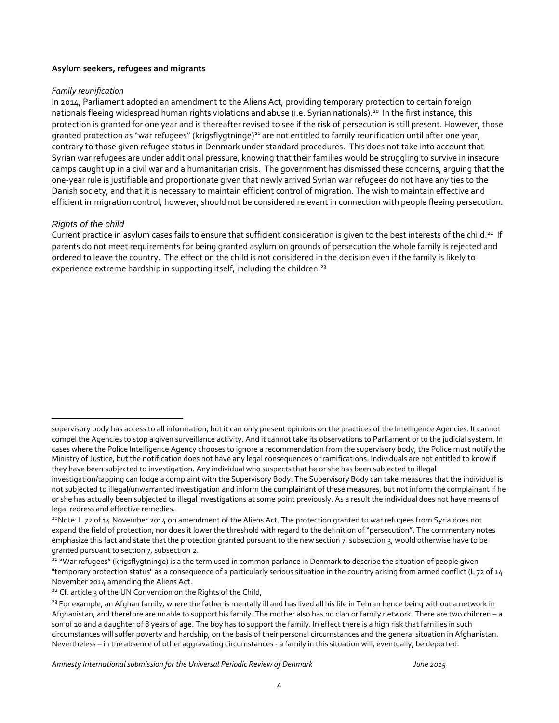#### **Asylum seekers, refugees and migrants**

#### *Family reunification*

In 2014, Parliament adopted an amendment to the Aliens Act, providing temporary protection to certain foreign nationals fleeing widespread human rights violations and abuse (i.e. Syrian nationals). <sup>20</sup> In the first instance, this protection is granted for one year and is thereafter revised to see if the risk of persecution is still present. However, those granted protection as "war refugees" (krigsflygtninge)<sup>21</sup> are not entitled to family reunification until after one year, contrary to those given refugee status in Denmark under standard procedures. This does not take into account that Syrian war refugees are under additional pressure, knowing that their families would be struggling to survive in insecure camps caught up in a civil war and a humanitarian crisis. The government has dismissed these concerns, arguing that the one-year rule is justifiable and proportionate given that newly arrived Syrian war refugees do not have any ties to the Danish society, and that it is necessary to maintain efficient control of migration. The wish to maintain effective and efficient immigration control, however, should not be considered relevant in connection with people fleeing persecution.

#### *Rights of the child*

 $\overline{a}$ 

Current practice in asylum cases fails to ensure that sufficient consideration is given to the best interests of the child.<sup>22</sup> If parents do not meet requirements for being granted asylum on grounds of persecution the whole family is rejected and ordered to leave the country. The effect on the child is not considered in the decision even if the family is likely to experience extreme hardship in supporting itself, including the children.<sup>23</sup>

*Amnesty Internationalsubmission for the Universal Periodic Review of Denmark June 2015*

supervisory body has access to all information, but it can only present opinions on the practices of the Intelligence Agencies. It cannot compel the Agencies to stop a given surveillance activity. And it cannot take its observations to Parliament or to the judicial system. In cases where the Police Intelligence Agency chooses to ignore a recommendation from the supervisory body, the Police must notify the Ministry of Justice, but the notification does not have any legal consequences or ramifications. Individuals are not entitled to know if they have been subjected to investigation. Any individual who suspects that he or she has been subjected to illegal investigation/tapping can lodge a complaint with the Supervisory Body. The Supervisory Body can take measures that the individual is

not subjected to illegal/unwarranted investigation and inform the complainant of these measures, but not inform the complainant if he or she has actually been subjected to illegal investigations at some point previously. As a result the individual does not have means of legal redress and effective remedies.

<sup>&</sup>lt;sup>20</sup>Note: L 72 of 14 November 2014 on amendment of the Aliens Act. The protection granted to war refugees from Syria does not expand the field of protection, nor does it lower the threshold with regard to the definition of "persecution". The commentary notes emphasize this fact and state that the protection granted pursuant to the new section 7, subsection 3, would otherwise have to be granted pursuant to section 7, subsection 2.

<sup>&</sup>lt;sup>21</sup> "War refugees" (krigsflygtninge) is a the term used in common parlance in Denmark to describe the situation of people given "temporary protection status" as a consequence of a particularly serious situation in the country arising from armed conflict (L 72 of 14 November 2014 amending the Aliens Act.

<sup>&</sup>lt;sup>22</sup> Cf. article 3 of the UN Convention on the Rights of the Child,

<sup>&</sup>lt;sup>23</sup> For example, an Afghan family, where the father is mentally ill and has lived all his life in Tehran hence being without a network in Afghanistan, and therefore are unable to support his family. The mother also has no clan or family network. There are two children – a son of 10 and a daughter of 8 years of age. The boy has to support the family. In effect there is a high risk that families in such circumstances will suffer poverty and hardship, on the basis of their personal circumstances and the general situation in Afghanistan. Nevertheless – in the absence of other aggravating circumstances - a family in this situation will, eventually, be deported.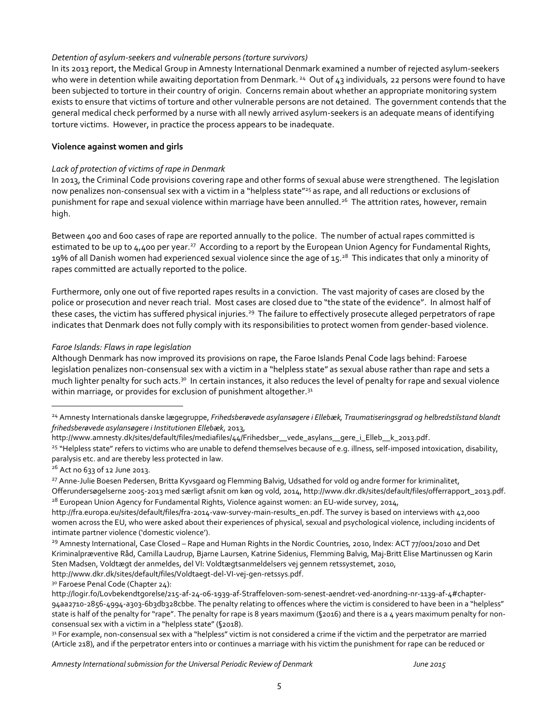#### *Detention of asylum-seekers and vulnerable persons (torture survivors)*

In its 2013 report, the Medical Group in Amnesty International Denmark examined a number of rejected asylum-seekers who were in detention while awaiting deportation from Denmark.<sup>24</sup> Out of 43 individuals, 22 persons were found to have been subjected to torture in their country of origin. Concerns remain about whether an appropriate monitoring system exists to ensure that victims of torture and other vulnerable persons are not detained. The government contends that the general medical check performed by a nurse with all newly arrived asylum-seekers is an adequate means of identifying torture victims. However, in practice the process appears to be inadequate.

#### **Violence against women and girls**

#### *Lack of protection of victims of rape in Denmark*

In 2013, the Criminal Code provisions covering rape and other forms of sexual abuse were strengthened. The legislation now penalizes non-consensual sex with a victim in a "helpless state"<sup>25</sup> as rape, and all reductions or exclusions of punishment for rape and sexual violence within marriage have been annulled.<sup>26</sup> The attrition rates, however, remain high.

Between 400 and 600 cases of rape are reported annually to the police. The number of actual rapes committed is estimated to be up to 4,400 per year.<sup>27</sup> According to a report by the European Union Agency for [Fundamental](http://fra.europa.eu/en) Rights, 19% of all Danish women had experienced sexual violence since the age of 15. $^{\rm 28}$  This indicates that only a minority of rapes committed are actually reported to the police.

Furthermore, only one out of five reported rapes results in a conviction. The vast majority of cases are closed by the police or prosecution and never reach trial. Most cases are closed due to "the state of the evidence". In almost half of these cases, the victim has suffered physical injuries.<sup>29</sup> The failure to effectively prosecute alleged perpetrators of rape indicates that Denmark does not fully comply with its responsibilities to protect women from gender-based violence.

#### *Faroe Islands: Flaws in rape legislation*

Although Denmark has now improved its provisions on rape, the Faroe Islands Penal Code lags behind: Faroese legislation penalizes non-consensual sex with a victim in a "helpless state" as sexual abuse rather than rape and sets a much lighter penalty for such acts.<sup>30</sup> In certain instances, it also reduces the level of penalty for rape and sexual violence within marriage, or provides for exclusion of punishment altogether.<sup>31</sup>

l

3º Faroese Penal Code (Chapter 24):

<sup>24</sup> Amnesty Internationals danske lægegruppe, *Frihedsberøvede asylansøgere i Ellebæk, Traumatiseringsgrad og helbredstilstand blandt frihedsberøvede asylansøgere i Institutionen Ellebæk*, 2013,

http://www.amnesty.dk/sites/default/files/mediafiles/44/Frihedsber\_\_vede\_asylans\_\_gere\_i\_Elleb\_\_k\_2013.pdf.

<sup>&</sup>lt;sup>25</sup> "Helpless state" refers to victims who are unable to defend themselves because of e.g. illness, self-imposed intoxication, disability, paralysis etc. and are thereby less protected in law.

 $26$  Act no 633 of 12 June 2013.

<sup>&</sup>lt;sup>27</sup> Anne-Julie Boesen Pedersen, Britta Kyvsgaard og Flemming Balvig, Udsathed for vold og andre former for kriminalitet, Offerundersøgelserne 2005-2013 med særligt afsnit om køn og vold, 2014, http://www.dkr.dk/sites/default/files/offerrapport\_2013.pdf. <sup>28</sup> European Union Agency for Fundamental Rights, Violence against women: an EU-wide survey, 2014,

http://fra.europa.eu/sites/default/files/fra-2014-vaw-survey-main-results\_en.pdf. The survey is based on interviews with 42,000 women across the EU, who were asked about their experiences of physical, sexual and psychological violence, including incidents of intimate partner violence ('domestic violence').

<sup>&</sup>lt;sup>29</sup> Amnesty International, Case Closed – Rape and Human Rights in the Nordic Countries, 2010, Index: ACT 77/001/2010 and Det Kriminalpræventive Råd, Camilla Laudrup, Bjarne Laursen, Katrine Sidenius, Flemming Balvig, Maj-Britt Elise Martinussen og Karin Sten Madsen, Voldtægt der anmeldes, del VI: Voldtægtsanmeldelsers vej gennem retssystemet, 2010,

http://www.dkr.dk/sites/default/files/Voldtaegt-del-VI-vej-gen-retssys.pdf.

http://logir.fo/Lovbekendtgorelse/215-af-24-06-1939-af-Straffeloven-som-senest-aendret-ved-anordning-nr-1139-af-4#chapter-94aa2710-2856-4994-a303-6b3db328cbbe. The penalty relating to offences where the victim is considered to have been in a "helpless" state is half of the penalty for "rape". The penalty for rape is 8 years maximum (§2016) and there is a 4 years maximum penalty for nonconsensual sex with a victim in a "helpless state" (§2018).

<sup>31</sup> For example, non-consensual sex with a "helpless" victim is not considered a crime if the victim and the perpetrator are married (Article 218), and if the perpetrator enters into or continues a marriage with his victim the punishment for rape can be reduced or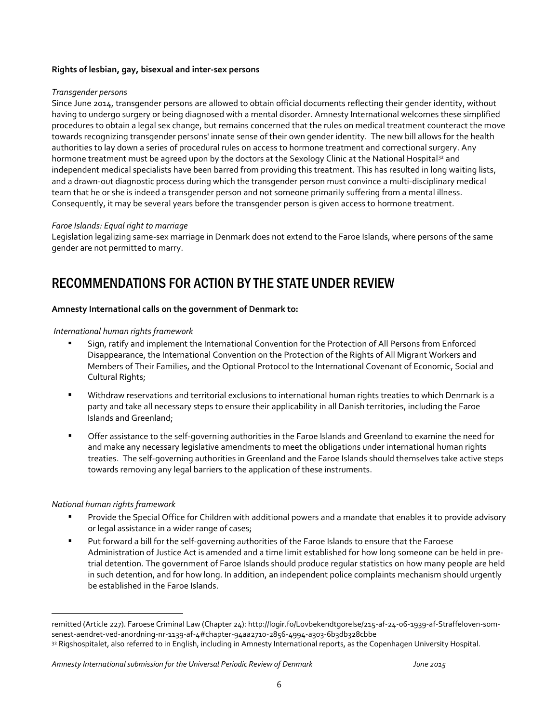#### **Rights of lesbian, gay, bisexual and inter-sex persons**

#### *Transgender persons*

Since June 2014, transgender persons are allowed to obtain official documents reflecting their gender identity, without having to undergo surgery or being diagnosed with a mental disorder. Amnesty International welcomes these simplified procedures to obtain a legal sex change, but remains concerned that the rules on medical treatment counteract the move towards recognizing transgender persons' innate sense of their own gender identity. The new bill allows for the health authorities to lay down a series of procedural rules on access to hormone treatment and correctional surgery. Any hormone treatment must be agreed upon by the doctors at the Sexology Clinic at the National Hospital<sup>32</sup> and independent medical specialists have been barred from providing this treatment. This has resulted in long waiting lists, and a drawn-out diagnostic process during which the transgender person must convince a multi-disciplinary medical team that he or she is indeed a transgender person and not someone primarily suffering from a mental illness. Consequently, it may be several years before the transgender person is given access to hormone treatment.

#### *Faroe Islands: Equal right to marriage*

Legislation legalizing same-sex marriage in Denmark does not extend to the Faroe Islands, where persons of the same gender are not permitted to marry.

# RECOMMENDATIONS FOR ACTION BY THE STATE UNDER REVIEW

#### **Amnesty International calls on the government of Denmark to:**

#### *International human rights framework*

- Sign, ratify and implement the International Convention for the Protection of All Persons from Enforced Disappearance, the International Convention on the Protection of the Rights of All Migrant Workers and Members of Their Families, and the Optional Protocol to the International Covenant of Economic, Social and Cultural Rights;
- Withdraw reservations and territorial exclusions to international human rights treaties to which Denmark is a party and take all necessary steps to ensure their applicability in all Danish territories, including the Faroe Islands and Greenland;
- Offer assistance to the self-governing authorities in the Faroe Islands and Greenland to examine the need for and make any necessary legislative amendments to meet the obligations under international human rights treaties. The self-governing authorities in Greenland and the Faroe Islands should themselves take active steps towards removing any legal barriers to the application of these instruments.

#### *National human rights framework*

 $\overline{a}$ 

- **•** Provide the Special Office for Children with additional powers and a mandate that enables it to provide advisory or legal assistance in a wider range of cases;
- Put forward a bill for the self-governing authorities of the Faroe Islands to ensure that the Faroese Administration of Justice Act is amended and a time limit established for how long someone can be held in pretrial detention. The government of Faroe Islands should produce regular statistics on how many people are held in such detention, and for how long. In addition, an independent police complaints mechanism should urgently be established in the Faroe Islands.

remitted (Article 227). Faroese Criminal Law (Chapter 24): http://logir.fo/Lovbekendtgorelse/215-af-24-06-1939-af-Straffeloven-somsenest-aendret-ved-anordning-nr-1139-af-4#chapter-94aa2710-2856-4994-a303-6b3db328cbbe

<sup>32</sup> Rigshospitalet, also referred to in English, including in Amnesty International reports, as the Copenhagen University Hospital.